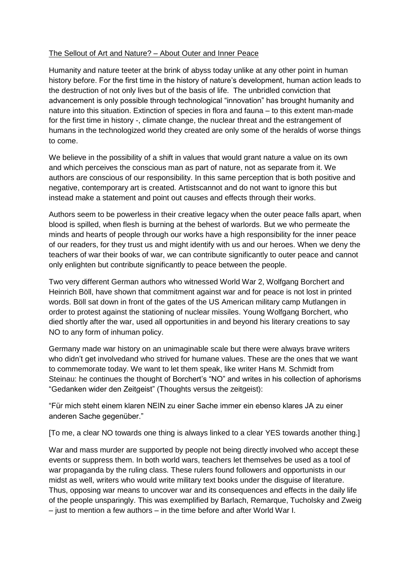## The Sellout of Art and Nature? – About Outer and Inner Peace

Humanity and nature teeter at the brink of abyss today unlike at any other point in human history before. For the first time in the history of nature's development, human action leads to the destruction of not only lives but of the basis of life. The unbridled conviction that advancement is only possible through technological "innovation" has brought humanity and nature into this situation. Extinction of species in flora and fauna – to this extent man-made for the first time in history -, climate change, the nuclear threat and the estrangement of humans in the technologized world they created are only some of the heralds of worse things to come.

We believe in the possibility of a shift in values that would grant nature a value on its own and which perceives the conscious man as part of nature, not as separate from it. We authors are conscious of our responsibility. In this same perception that is both positive and negative, contemporary art is created. Artistscannot and do not want to ignore this but instead make a statement and point out causes and effects through their works.

Authors seem to be powerless in their creative legacy when the outer peace falls apart, when blood is spilled, when flesh is burning at the behest of warlords. But we who permeate the minds and hearts of people through our works have a high responsibility for the inner peace of our readers, for they trust us and might identify with us and our heroes. When we deny the teachers of war their books of war, we can contribute significantly to outer peace and cannot only enlighten but contribute significantly to peace between the people.

Two very different German authors who witnessed World War 2, Wolfgang Borchert and Heinrich Böll, have shown that commitment against war and for peace is not lost in printed words. Böll sat down in front of the gates of the US American military camp Mutlangen in order to protest against the stationing of nuclear missiles. Young Wolfgang Borchert, who died shortly after the war, used all opportunities in and beyond his literary creations to say NO to any form of inhuman policy.

Germany made war history on an unimaginable scale but there were always brave writers who didn't get involvedand who strived for humane values. These are the ones that we want to commemorate today. We want to let them speak, like writer Hans M. Schmidt from Steinau: he continues the thought of Borchert's "NO" and writes in his collection of aphorisms "Gedanken wider den Zeitgeist" (Thoughts versus the zeitgeist):

"Für mich steht einem klaren NEIN zu einer Sache immer ein ebenso klares JA zu einer anderen Sache gegenüber."

[To me, a clear NO towards one thing is always linked to a clear YES towards another thing.]

War and mass murder are supported by people not being directly involved who accept these events or suppress them. In both world wars, teachers let themselves be used as a tool of war propaganda by the ruling class. These rulers found followers and opportunists in our midst as well, writers who would write military text books under the disguise of literature. Thus, opposing war means to uncover war and its consequences and effects in the daily life of the people unsparingly. This was exemplified by Barlach, Remarque, Tucholsky and Zweig – just to mention a few authors – in the time before and after World War I.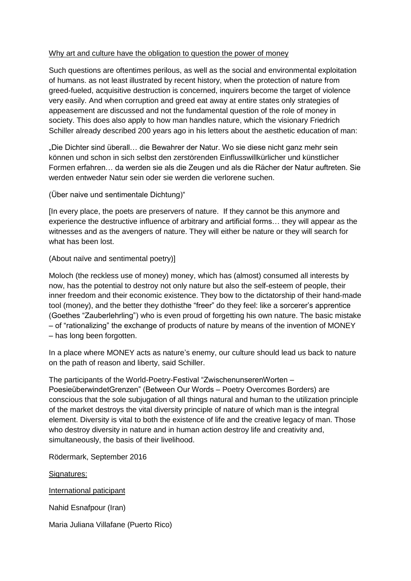## Why art and culture have the obligation to question the power of money

Such questions are oftentimes perilous, as well as the social and environmental exploitation of humans. as not least illustrated by recent history, when the protection of nature from greed-fueled, acquisitive destruction is concerned, inquirers become the target of violence very easily. And when corruption and greed eat away at entire states only strategies of appeasement are discussed and not the fundamental question of the role of money in society. This does also apply to how man handles nature, which the visionary Friedrich Schiller already described 200 years ago in his letters about the aesthetic education of man:

"Die Dichter sind überall… die Bewahrer der Natur. Wo sie diese nicht ganz mehr sein können und schon in sich selbst den zerstörenden Einflusswillkürlicher und künstlicher Formen erfahren… da werden sie als die Zeugen und als die Rächer der Natur auftreten. Sie werden entweder Natur sein oder sie werden die verlorene suchen.

(Über naive und sentimentale Dichtung)"

[In every place, the poets are preservers of nature. If they cannot be this anymore and experience the destructive influence of arbitrary and artificial forms… they will appear as the witnesses and as the avengers of nature. They will either be nature or they will search for what has been lost.

(About naïve and sentimental poetry)]

Moloch (the reckless use of money) money, which has (almost) consumed all interests by now, has the potential to destroy not only nature but also the self-esteem of people, their inner freedom and their economic existence. They bow to the dictatorship of their hand-made tool (money), and the better they dothisthe "freer" do they feel: like a sorcerer's apprentice (Goethes "Zauberlehrling") who is even proud of forgetting his own nature. The basic mistake – of "rationalizing" the exchange of products of nature by means of the invention of MONEY – has long been forgotten.

In a place where MONEY acts as nature's enemy, our culture should lead us back to nature on the path of reason and liberty, said Schiller.

The participants of the World-Poetry-Festival "ZwischenunserenWorten – PoesieüberwindetGrenzen" (Between Our Words – Poetry Overcomes Borders) are conscious that the sole subjugation of all things natural and human to the utilization principle of the market destroys the vital diversity principle of nature of which man is the integral element. Diversity is vital to both the existence of life and the creative legacy of man. Those who destroy diversity in nature and in human action destroy life and creativity and, simultaneously, the basis of their livelihood.

Rödermark, September 2016

Signatures:

International paticipant

Nahid Esnafpour (Iran)

Maria Juliana Villafane (Puerto Rico)